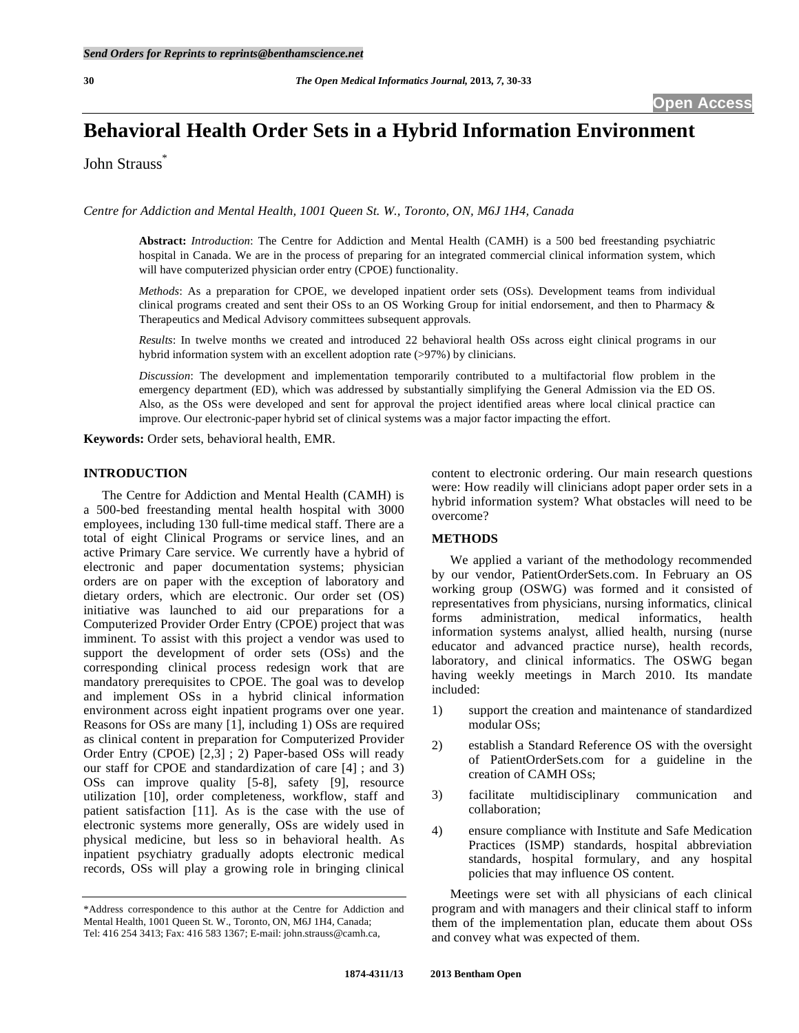# **Behavioral Health Order Sets in a Hybrid Information Environment**

John Strauss\*

*Centre for Addiction and Mental Health, 1001 Queen St. W., Toronto, ON, M6J 1H4, Canada* 

**Abstract:** *Introduction*: The Centre for Addiction and Mental Health (CAMH) is a 500 bed freestanding psychiatric hospital in Canada. We are in the process of preparing for an integrated commercial clinical information system, which will have computerized physician order entry (CPOE) functionality.

*Methods*: As a preparation for CPOE, we developed inpatient order sets (OSs). Development teams from individual clinical programs created and sent their OSs to an OS Working Group for initial endorsement, and then to Pharmacy & Therapeutics and Medical Advisory committees subsequent approvals.

*Results*: In twelve months we created and introduced 22 behavioral health OSs across eight clinical programs in our hybrid information system with an excellent adoption rate (>97%) by clinicians.

*Discussion*: The development and implementation temporarily contributed to a multifactorial flow problem in the emergency department (ED), which was addressed by substantially simplifying the General Admission via the ED OS. Also, as the OSs were developed and sent for approval the project identified areas where local clinical practice can improve. Our electronic-paper hybrid set of clinical systems was a major factor impacting the effort.

**Keywords:** Order sets, behavioral health, EMR.

# **INTRODUCTION**

 The Centre for Addiction and Mental Health (CAMH) is a 500-bed freestanding mental health hospital with 3000 employees, including 130 full-time medical staff. There are a total of eight Clinical Programs or service lines, and an active Primary Care service. We currently have a hybrid of electronic and paper documentation systems; physician orders are on paper with the exception of laboratory and dietary orders, which are electronic. Our order set (OS) initiative was launched to aid our preparations for a Computerized Provider Order Entry (CPOE) project that was imminent. To assist with this project a vendor was used to support the development of order sets (OSs) and the corresponding clinical process redesign work that are mandatory prerequisites to CPOE. The goal was to develop and implement OSs in a hybrid clinical information environment across eight inpatient programs over one year. Reasons for OSs are many [1], including 1) OSs are required as clinical content in preparation for Computerized Provider Order Entry (CPOE) [2,3] ; 2) Paper-based OSs will ready our staff for CPOE and standardization of care [4] ; and 3) OSs can improve quality [5-8], safety [9], resource utilization [10], order completeness, workflow, staff and patient satisfaction [11]. As is the case with the use of electronic systems more generally, OSs are widely used in physical medicine, but less so in behavioral health. As inpatient psychiatry gradually adopts electronic medical records, OSs will play a growing role in bringing clinical content to electronic ordering. Our main research questions were: How readily will clinicians adopt paper order sets in a hybrid information system? What obstacles will need to be overcome?

### **METHODS**

 We applied a variant of the methodology recommended by our vendor, PatientOrderSets.com. In February an OS working group (OSWG) was formed and it consisted of representatives from physicians, nursing informatics, clinical forms administration, medical informatics, health information systems analyst, allied health, nursing (nurse educator and advanced practice nurse), health records, laboratory, and clinical informatics. The OSWG began having weekly meetings in March 2010. Its mandate included:

- 1) support the creation and maintenance of standardized modular OSs;
- 2) establish a Standard Reference OS with the oversight of PatientOrderSets.com for a guideline in the creation of CAMH OSs;
- 3) facilitate multidisciplinary communication and collaboration;
- 4) ensure compliance with Institute and Safe Medication Practices (ISMP) standards, hospital abbreviation standards, hospital formulary, and any hospital policies that may influence OS content.

 Meetings were set with all physicians of each clinical program and with managers and their clinical staff to inform them of the implementation plan, educate them about OSs and convey what was expected of them.

<sup>\*</sup>Address correspondence to this author at the Centre for Addiction and Mental Health, 1001 Queen St. W., Toronto, ON, M6J 1H4, Canada; Tel: 416 254 3413; Fax: 416 583 1367; E-mail: john.strauss@camh.ca,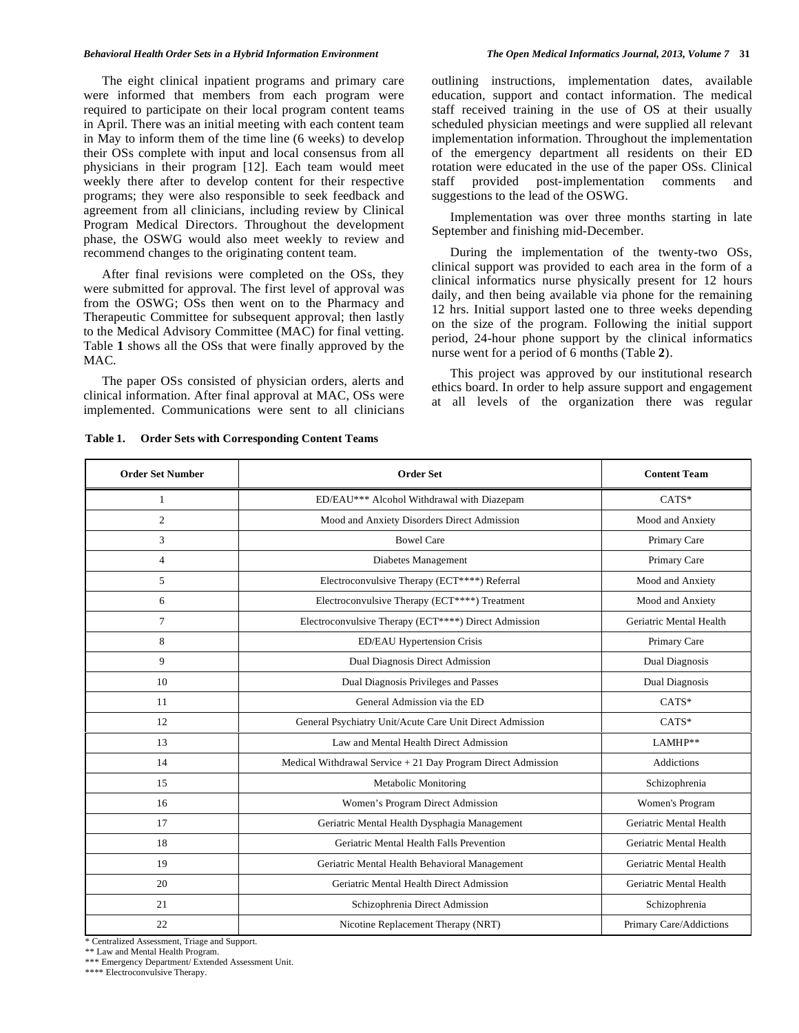#### *Behavioral Health Order Sets in a Hybrid Information Environment The Open Medical Informatics Journal, 2013, Volume 7* **31**

 The eight clinical inpatient programs and primary care were informed that members from each program were required to participate on their local program content teams in April. There was an initial meeting with each content team in May to inform them of the time line (6 weeks) to develop their OSs complete with input and local consensus from all physicians in their program [12]. Each team would meet weekly there after to develop content for their respective programs; they were also responsible to seek feedback and agreement from all clinicians, including review by Clinical Program Medical Directors. Throughout the development phase, the OSWG would also meet weekly to review and recommend changes to the originating content team.

 After final revisions were completed on the OSs, they were submitted for approval. The first level of approval was from the OSWG; OSs then went on to the Pharmacy and Therapeutic Committee for subsequent approval; then lastly to the Medical Advisory Committee (MAC) for final vetting. Table **1** shows all the OSs that were finally approved by the MAC.

 The paper OSs consisted of physician orders, alerts and clinical information. After final approval at MAC, OSs were implemented. Communications were sent to all clinicians

**Table 1. Order Sets with Corresponding Content Teams** 

 Implementation was over three months starting in late September and finishing mid-December.

suggestions to the lead of the OSWG.

 During the implementation of the twenty-two OSs, clinical support was provided to each area in the form of a clinical informatics nurse physically present for 12 hours daily, and then being available via phone for the remaining 12 hrs. Initial support lasted one to three weeks depending on the size of the program. Following the initial support period, 24-hour phone support by the clinical informatics nurse went for a period of 6 months (Table **2**).

 This project was approved by our institutional research ethics board. In order to help assure support and engagement at all levels of the organization there was regular

| <b>Order Set Number</b> | <b>Order Set</b>                                              | <b>Content Team</b>     |
|-------------------------|---------------------------------------------------------------|-------------------------|
| 1                       | ED/EAU*** Alcohol Withdrawal with Diazepam                    | $CATS*$                 |
| $\overline{c}$          | Mood and Anxiety Disorders Direct Admission                   | Mood and Anxiety        |
| 3                       | <b>Bowel Care</b>                                             | Primary Care            |
| $\overline{4}$          | Diabetes Management                                           | Primary Care            |
| 5                       | Electroconvulsive Therapy (ECT****) Referral                  | Mood and Anxiety        |
| 6                       | Electroconvulsive Therapy (ECT****) Treatment                 | Mood and Anxiety        |
| $\overline{7}$          | Electroconvulsive Therapy (ECT****) Direct Admission          | Geriatric Mental Health |
| 8                       | ED/EAU Hypertension Crisis                                    | Primary Care            |
| 9                       | Dual Diagnosis Direct Admission                               | Dual Diagnosis          |
| 10                      | Dual Diagnosis Privileges and Passes                          | Dual Diagnosis          |
| 11                      | General Admission via the ED                                  | $CATS*$                 |
| 12                      | General Psychiatry Unit/Acute Care Unit Direct Admission      | $CATS*$                 |
| 13                      | Law and Mental Health Direct Admission                        | LAMHP**                 |
| 14                      | Medical Withdrawal Service $+21$ Day Program Direct Admission | Addictions              |
| 15                      | Metabolic Monitoring                                          | Schizophrenia           |
| 16                      | Women's Program Direct Admission                              | Women's Program         |
| 17                      | Geriatric Mental Health Dysphagia Management                  | Geriatric Mental Health |
| 18                      | Geriatric Mental Health Falls Prevention                      | Geriatric Mental Health |
| 19                      | Geriatric Mental Health Behavioral Management                 | Geriatric Mental Health |
| 20                      | Geriatric Mental Health Direct Admission                      | Geriatric Mental Health |
| 21                      | Schizophrenia Direct Admission                                | Schizophrenia           |
| 22                      | Nicotine Replacement Therapy (NRT)                            | Primary Care/Addictions |

\* Centralized Assessment, Triage and Support.

\*\* Law and Mental Health Program.

\*\*\* Emergency Department/ Extended Assessment Unit.

\*\*\*\* Electroconvulsive Therapy.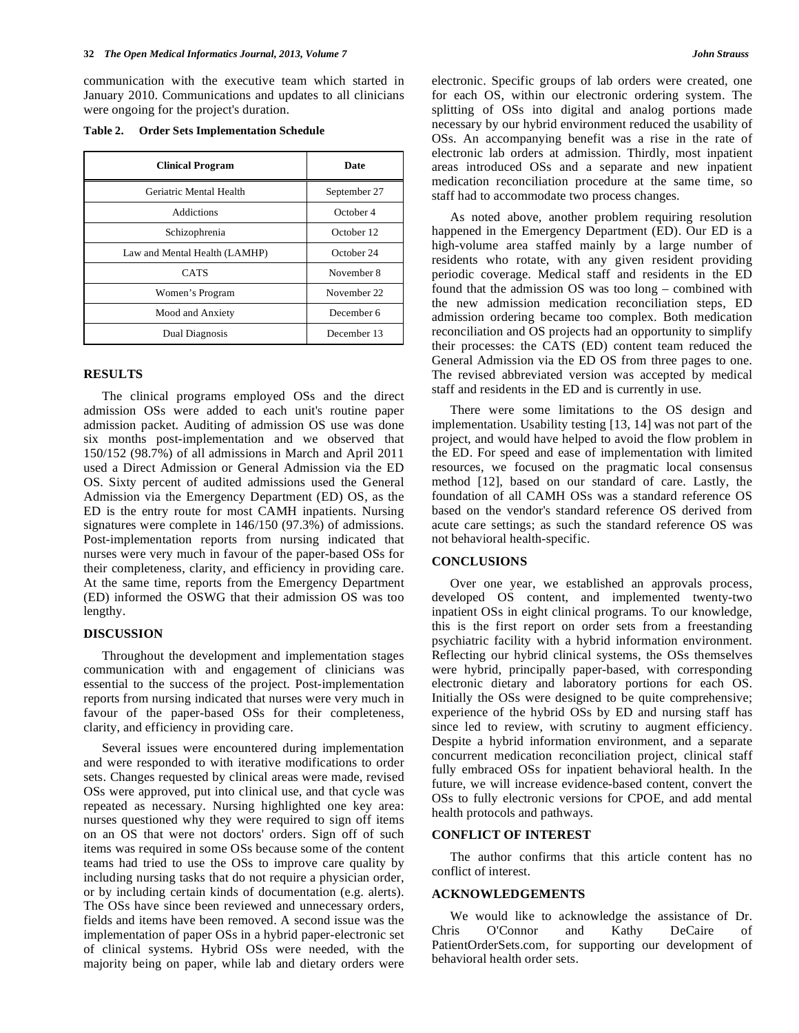communication with the executive team which started in January 2010. Communications and updates to all clinicians were ongoing for the project's duration.

**Table 2. Order Sets Implementation Schedule** 

| <b>Clinical Program</b>       | Date         |
|-------------------------------|--------------|
| Geriatric Mental Health       | September 27 |
| <b>Addictions</b>             | October 4    |
| Schizophrenia                 | October 12   |
| Law and Mental Health (LAMHP) | October 24   |
| <b>CATS</b>                   | November 8   |
| Women's Program               | November 22  |
| Mood and Anxiety              | December 6   |
| Dual Diagnosis                | December 13  |

#### **RESULTS**

 The clinical programs employed OSs and the direct admission OSs were added to each unit's routine paper admission packet. Auditing of admission OS use was done six months post-implementation and we observed that 150/152 (98.7%) of all admissions in March and April 2011 used a Direct Admission or General Admission via the ED OS. Sixty percent of audited admissions used the General Admission via the Emergency Department (ED) OS, as the ED is the entry route for most CAMH inpatients. Nursing signatures were complete in 146/150 (97.3%) of admissions. Post-implementation reports from nursing indicated that nurses were very much in favour of the paper-based OSs for their completeness, clarity, and efficiency in providing care. At the same time, reports from the Emergency Department (ED) informed the OSWG that their admission OS was too lengthy.

#### **DISCUSSION**

 Throughout the development and implementation stages communication with and engagement of clinicians was essential to the success of the project. Post-implementation reports from nursing indicated that nurses were very much in favour of the paper-based OSs for their completeness, clarity, and efficiency in providing care.

 Several issues were encountered during implementation and were responded to with iterative modifications to order sets. Changes requested by clinical areas were made, revised OSs were approved, put into clinical use, and that cycle was repeated as necessary. Nursing highlighted one key area: nurses questioned why they were required to sign off items on an OS that were not doctors' orders. Sign off of such items was required in some OSs because some of the content teams had tried to use the OSs to improve care quality by including nursing tasks that do not require a physician order, or by including certain kinds of documentation (e.g. alerts). The OSs have since been reviewed and unnecessary orders, fields and items have been removed. A second issue was the implementation of paper OSs in a hybrid paper-electronic set of clinical systems. Hybrid OSs were needed, with the majority being on paper, while lab and dietary orders were

electronic. Specific groups of lab orders were created, one for each OS, within our electronic ordering system. The splitting of OSs into digital and analog portions made necessary by our hybrid environment reduced the usability of OSs. An accompanying benefit was a rise in the rate of electronic lab orders at admission. Thirdly, most inpatient areas introduced OSs and a separate and new inpatient medication reconciliation procedure at the same time, so staff had to accommodate two process changes.

 As noted above, another problem requiring resolution happened in the Emergency Department (ED). Our ED is a high-volume area staffed mainly by a large number of residents who rotate, with any given resident providing periodic coverage. Medical staff and residents in the ED found that the admission OS was too long – combined with the new admission medication reconciliation steps, ED admission ordering became too complex. Both medication reconciliation and OS projects had an opportunity to simplify their processes: the CATS (ED) content team reduced the General Admission via the ED OS from three pages to one. The revised abbreviated version was accepted by medical staff and residents in the ED and is currently in use.

 There were some limitations to the OS design and implementation. Usability testing [13, 14] was not part of the project, and would have helped to avoid the flow problem in the ED. For speed and ease of implementation with limited resources, we focused on the pragmatic local consensus method [12], based on our standard of care. Lastly, the foundation of all CAMH OSs was a standard reference OS based on the vendor's standard reference OS derived from acute care settings; as such the standard reference OS was not behavioral health-specific.

## **CONCLUSIONS**

 Over one year, we established an approvals process, developed OS content, and implemented twenty-two inpatient OSs in eight clinical programs. To our knowledge, this is the first report on order sets from a freestanding psychiatric facility with a hybrid information environment. Reflecting our hybrid clinical systems, the OSs themselves were hybrid, principally paper-based, with corresponding electronic dietary and laboratory portions for each OS. Initially the OSs were designed to be quite comprehensive; experience of the hybrid OSs by ED and nursing staff has since led to review, with scrutiny to augment efficiency. Despite a hybrid information environment, and a separate concurrent medication reconciliation project, clinical staff fully embraced OSs for inpatient behavioral health. In the future, we will increase evidence-based content, convert the OSs to fully electronic versions for CPOE, and add mental health protocols and pathways.

#### **CONFLICT OF INTEREST**

 The author confirms that this article content has no conflict of interest.

#### **ACKNOWLEDGEMENTS**

 We would like to acknowledge the assistance of Dr. Chris O'Connor and Kathy DeCaire of PatientOrderSets.com, for supporting our development of behavioral health order sets.